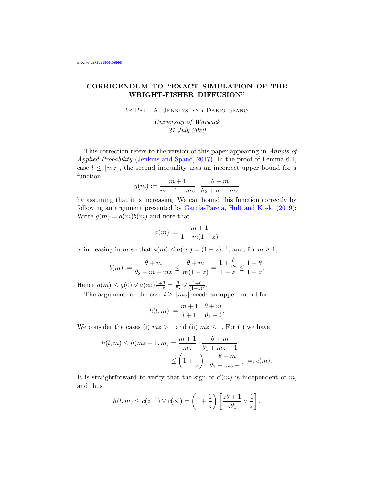## CORRIGENDUM TO "EXACT SIMULATION OF THE WRIGHT-FISHER DIFFUSION"

BY PAUL A. JENKINS AND DARIO SPANÒ

University of Warwick 21 July 2020

This correction refers to the version of this paper appearing in Annals of Applied Probability (Jenkins and Span $\delta$ , [2017\)](#page-1-0). In the proof of Lemma 6.1, case  $l \leq |mz|$ , the second inequality uses an incorrect upper bound for a function

$$
g(m) := \frac{m+1}{m+1-mz} \cdot \frac{\theta+m}{\theta_2+m-mz}
$$

by assuming that it is increasing. We can bound this function correctly by following an argument presented by García-Pareja, Hult and Koski [\(2019\)](#page-1-1): Write  $g(m) = a(m)b(m)$  and note that

$$
a(m) := \frac{m+1}{1+m(1-z)}
$$

is increasing in m so that  $a(m) \le a(\infty) = (1-z)^{-1}$ ; and, for  $m \ge 1$ ,

$$
b(m) := \frac{\theta + m}{\theta_2 + m - mz} \le \frac{\theta + m}{m(1 - z)} = \frac{1 + \frac{\theta}{m}}{1 - z} \le \frac{1 + \theta}{1 - z}.
$$

Hence  $g(m) \leq g(0) \vee a(\infty) \frac{1+\theta}{1-z} = \frac{\theta}{\theta}$  $\frac{\theta}{\theta_2} \vee \frac{1+\theta}{(1-z)}$  $\frac{1+\theta}{(1-z)^2}.$ 

The argument for the case  $l \ge |m z|$  needs an upper bound for

$$
h(l,m) := \frac{m+1}{l+1} \cdot \frac{\theta+m}{\theta_1+l}.
$$

We consider the cases (i)  $mz > 1$  and (ii)  $mz \leq 1$ . For (i) we have

$$
h(l,m) \le h(mz-1,m) = \frac{m+1}{mz} \cdot \frac{\theta+m}{\theta_1+mz-1}
$$
  
 
$$
\le \left(1+\frac{1}{z}\right) \cdot \frac{\theta+m}{\theta_1+mz-1} =: c(m).
$$

It is straightforward to verify that the sign of  $c'(m)$  is independent of m, and thus

$$
h(l,m) \le c(z^{-1}) \vee c(\infty) = \left(1 + \frac{1}{z}\right) \left[\frac{z\theta + 1}{z\theta_1} \vee \frac{1}{z}\right].
$$